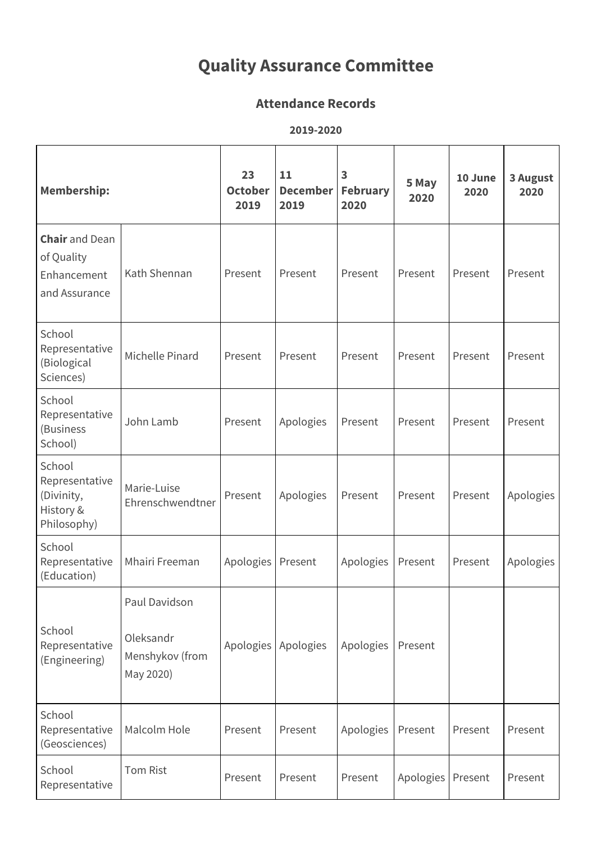## **Quality Assurance Committee**

## **Attendance Records**

**2019-2020**

| <b>Membership:</b>                                                  |                                                            | 23<br><b>October</b><br>2019 | 11<br><b>December</b><br>2019 | 3<br><b>February</b><br>2020 | 5 May<br>2020 | 10 June<br>2020 | 3 August<br>2020 |
|---------------------------------------------------------------------|------------------------------------------------------------|------------------------------|-------------------------------|------------------------------|---------------|-----------------|------------------|
| <b>Chair</b> and Dean<br>of Quality<br>Enhancement<br>and Assurance | Kath Shennan                                               | Present                      | Present                       | Present                      | Present       | Present         | Present          |
| School<br>Representative<br>(Biological<br>Sciences)                | Michelle Pinard                                            | Present                      | Present                       | Present                      | Present       | Present         | Present          |
| School<br>Representative<br>(Business<br>School)                    | John Lamb                                                  | Present                      | Apologies                     | Present                      | Present       | Present         | Present          |
| School<br>Representative<br>(Divinity,<br>History &<br>Philosophy)  | Marie-Luise<br>Ehrenschwendtner                            | Present                      | Apologies                     | Present                      | Present       | Present         | Apologies        |
| School<br>Representative<br>(Education)                             | Mhairi Freeman                                             | Apologies                    | Present                       | Apologies                    | Present       | Present         | Apologies        |
| School<br>Representative<br>(Engineering)                           | Paul Davidson<br>Oleksandr<br>Menshykov (from<br>May 2020) | Apologies                    | Apologies                     | Apologies                    | Present       |                 |                  |
| School<br>Representative<br>(Geosciences)                           | Malcolm Hole                                               | Present                      | Present                       | Apologies                    | Present       | Present         | Present          |
| School<br>Representative                                            | <b>Tom Rist</b>                                            | Present                      | Present                       | Present                      | Apologies     | Present         | Present          |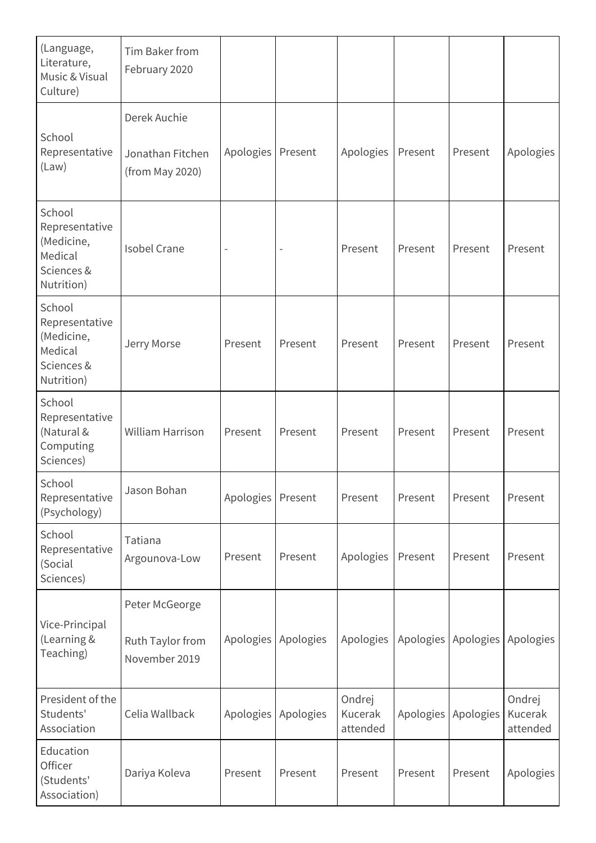| (Language,<br>Literature,<br>Music & Visual<br>Culture)                       | Tim Baker from<br>February 2020                     |           |           |                               |           |           |                               |
|-------------------------------------------------------------------------------|-----------------------------------------------------|-----------|-----------|-------------------------------|-----------|-----------|-------------------------------|
| School<br>Representative<br>(Law)                                             | Derek Auchie<br>Jonathan Fitchen<br>(from May 2020) | Apologies | Present   | Apologies                     | Present   | Present   | Apologies                     |
| School<br>Representative<br>(Medicine,<br>Medical<br>Sciences &<br>Nutrition) | <b>Isobel Crane</b>                                 |           |           | Present                       | Present   | Present   | Present                       |
| School<br>Representative<br>(Medicine,<br>Medical<br>Sciences &<br>Nutrition) | Jerry Morse                                         | Present   | Present   | Present                       | Present   | Present   | Present                       |
| School<br>Representative<br>(Natural &<br>Computing<br>Sciences)              | <b>William Harrison</b>                             | Present   | Present   | Present                       | Present   | Present   | Present                       |
| School<br>Representative<br>(Psychology)                                      | Jason Bohan                                         | Apologies | Present   | Present                       | Present   | Present   | Present                       |
| School<br>Representative<br>(Social<br>Sciences)                              | Tatiana<br>Argounova-Low                            | Present   | Present   | Apologies                     | Present   | Present   | Present                       |
| Vice-Principal<br>(Learning &<br>Teaching)                                    | Peter McGeorge<br>Ruth Taylor from<br>November 2019 | Apologies | Apologies | Apologies                     | Apologies | Apologies | Apologies                     |
| President of the<br>Students'<br>Association                                  | Celia Wallback                                      | Apologies | Apologies | Ondrej<br>Kucerak<br>attended | Apologies | Apologies | Ondrej<br>Kucerak<br>attended |
| Education<br>Officer<br>(Students'<br>Association)                            | Dariya Koleva                                       | Present   | Present   | Present                       | Present   | Present   | Apologies                     |